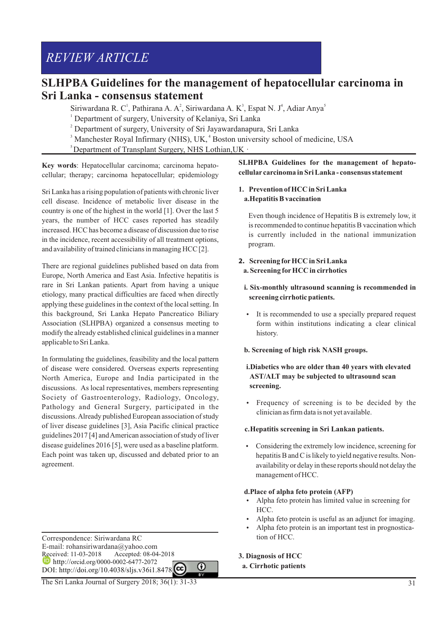# **SLHPBA Guidelines for the management of hepatocellular carcinoma in Sri Lanka - consensus statement**

Siriwardana R. C<sup>1</sup>, Pathirana A. A<sup>2</sup>, Siriwardana A. K<sup>3</sup>, Espat N. J<sup>4</sup>, Adiar Anya<sup>5</sup>

- 1 Department of surgery, University of Kelaniya, Sri Lanka
- <sup>2</sup> Department of surgery, University of Sri Jayawardanapura, Sri Lanka
- $3$  Manchester Royal Infirmary (NHS), UK,  $4$  Boston university school of medicine, USA
- $5$ Department of Transplant Surgery, NHS Lothian, UK  $\cdot$

**Key words**: Hepatocellular carcinoma; carcinoma hepatocellular; therapy; carcinoma hepatocellular; epidemiology

Sri Lanka has a rising population of patients with chronic liver cell disease. Incidence of metabolic liver disease in the country is one of the highest in the world [1]. Over the last 5 years, the number of HCC cases reported has steadily increased. HCC has become a disease of discussion due to rise in the incidence, recent accessibility of all treatment options, and availability of trained clinicians in managing HCC [2].

There are regional guidelines published based on data from Europe, North America and East Asia. Infective hepatitis is rare in Sri Lankan patients. Apart from having a unique etiology, many practical difficulties are faced when directly applying these guidelines in the context of the local setting. In this background, Sri Lanka Hepato Pancreatico Biliary Association (SLHPBA) organized a consensus meeting to modify the already established clinical guidelines in a manner applicable to Sri Lanka.

In formulating the guidelines, feasibility and the local pattern of disease were considered. Overseas experts representing North America, Europe and India participated in the discussions. As local representatives, members representing Society of Gastroenterology, Radiology, Oncology, Pathology and General Surgery, participated in the discussions. Already published European association of study of liver disease guidelines [3], Asia Pacific clinical practice guidelines 2017 [4] and American association of study of liver disease guidelines 2016 [5], were used as a baseline platform. Each point was taken up, discussed and debated prior to an agreement.

Correspondence: Siriwardana RC E-mail: rohansiriwardana@yahoo.com<br>Received: 11-03-2018 Accepted: 08-04 Accepted: 08-04-2018 http://orcid.org/0000-0002-6477-2072 DOI: http://doi.org/10.4038/sljs.v36i1.8478

The Sri Lanka Journal of Surgery 2018; 36(1): 31-33

**SLHPBA Guidelines for the management of hepatocellular carcinoma in Sri Lanka - consensus statement**

# **1. Prevention of HCC in Sri Lanka a. Hepatitis B vaccination**

Even though incidence of Hepatitis B is extremely low, it is recommended to continue hepatitis B vaccination which is currently included in the national immunization program.

- **2. Screening forHCC in Sri Lanka a. Screening forHCC in cirrhotics** 
	- **i. Six-monthly ultrasound scanning is recommended in screening cirrhotic patients.**
	- It is recommended to use a specially prepared request form within institutions indicating a clear clinical history.
	- **b. Screening of high risk NASH groups.**

# **i.Diabetics who are older than 40 years with elevated AST/ALT may be subjected to ultrasound scan screening.**

Frequency of screening is to be decided by the clinician as firm data is not yet available.

## **c. Hepatitis screening in Sri Lankan patients.**

• Considering the extremely low incidence, screening for hepatitis B and C is likely to yield negative results. Nonavailability or delay in these reports should not delay the management of HCC.

#### **d.Place of alpha feto protein (AFP)**

- Alpha feto protein has limited value in screening for HCC.
- Alpha feto protein is useful as an adjunct for imaging.
- Alpha feto protein is an important test in prognostication of HCC.

#### **3. Diagnosis of HCC**

⋒

 **a. Cirrhotic patients**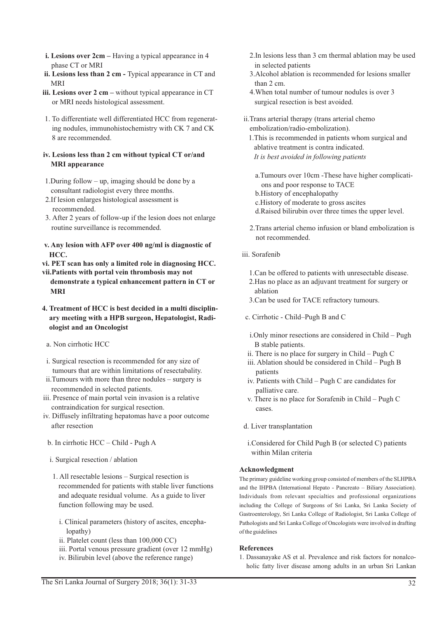- **i. Lesions over 2cm** Having a typical appearance in 4 phase CT or MRI
- **ii. Lesions less than 2 cm** Typical appearance in CT and MRI
- **iii. Lesions over 2 cm** without typical appearance in CT or MRI needs histological assessment.
- 1. To differentiate well differentiated HCC from regenerating nodules, immunohistochemistry with CK 7 and CK 8 are recommended.

#### **iv. Lesions less than 2 cm without typical CT or/and MRI appearance**

- 1.During follow up, imaging should be done by a consultant radiologist every three months.
- 2.If lesion enlarges histological assessment is recommended.
- 3. After 2 years of follow-up if the lesion does not enlarge routine surveillance is recommended.
- **v. Any lesion with AFP over 400 ng/ml is diagnostic of HCC.**

**vi. PET scan has only a limited role in diagnosing HCC. vii.Patients with portal vein thrombosis may not** 

- **demonstrate a typical enhancement pattern in CT or MRI**
- **4. Treatment of HCC is best decided in a multi disciplinary meeting with a HPB surgeon, Hepatologist, Radiologist and an Oncologist**
- a. Non cirrhotic HCC
- i. Surgical resection is recommended for any size of tumours that are within limitations of resectabality.
- ii.Tumours with more than three nodules surgery is recommended in selected patients.
- iii. Presence of main portal vein invasion is a relative contraindication for surgical resection.
- iv. Diffusely infiltrating hepatomas have a poor outcome after resection
	- b. In cirrhotic HCC Child Pugh A
	- i. Surgical resection / ablation
	- 1. All resectable lesions Surgical resection is recommended for patients with stable liver functions and adequate residual volume. As a guide to liver function following may be used.
		- i. Clinical parameters (history of ascites, encephalopathy)
		- ii. Platelet count (less than 100,000 CC)
		- iii. Portal venous pressure gradient (over 12 mmHg)
		- iv. Bilirubin level (above the reference range)
- 2.In lesions less than 3 cm thermal ablation may be used in selected patients
- 3.Alcohol ablation is recommended for lesions smaller than 2 cm.
- 4.When total number of tumour nodules is over 3 surgical resection is best avoided.
- ii.Trans arterial therapy (trans arterial chemo embolization/radio-embolization).
	- 1.This is recommended in patients whom surgical and ablative treatment is contra indicated.  *It is best avoided in following patients*
		- a.Tumours over 10cm -These have higher complications and poor response to TACE
		- b.History of encephalopathy
		- c.History of moderate to gross ascites
		- d.Raised bilirubin over three times the upper level.
	- 2.Trans arterial chemo infusion or bland embolization is not recommended.
- iii. Sorafenib
	- 1.Can be offered to patients with unresectable disease.
	- 2.Has no place as an adjuvant treatment for surgery or ablation
	- 3.Can be used for TACE refractory tumours.
- c. Cirrhotic Child–Pugh B and C
	- i.Only minor resections are considered in Child Pugh B stable patients.
- ii. There is no place for surgery in Child Pugh C
- iii. Ablation should be considered in Child Pugh B patients
- iv. Patients with Child Pugh C are candidates for palliative care.
- v. There is no place for Sorafenib in Child Pugh C cases.
- d. Liver transplantation
- i.Considered for Child Pugh B (or selected C) patients within Milan criteria

## **Acknowledgment**

The primary guideline working group consisted of members of the SLHPBA and the IHPBA (International Hepato - Pancreato – Biliary Association). Individuals from relevant specialties and professional organizations including the College of Surgeons of Sri Lanka, Sri Lanka Society of Gastroenterology, Sri Lanka College of Radiologist, Sri Lanka College of Pathologists and Sri Lanka College of Oncologists were involved in drafting of the guidelines

## **References**

1. Dassanayake AS et al. Prevalence and risk factors for nonalcoholic fatty liver disease among adults in an urban Sri Lankan